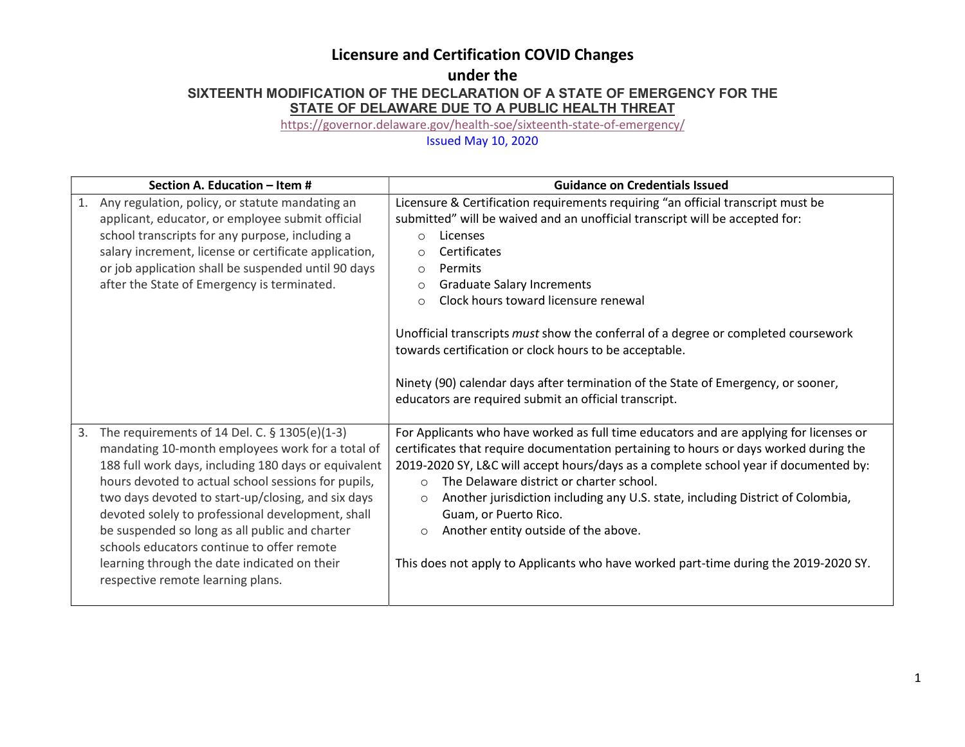# Licensure and Certification COVID Changes

## under the SIXTEENTH MODIFICATION OF THE DECLARATION OF A STATE OF EMERGENCY FOR THE STATE OF DELAWARE DUE TO A PUBLIC HEALTH THREAT

https://governor.delaware.gov/health-soe/sixteenth-state-of-emergency/

## Issued May 10, 2020

| Section A. Education - Item #                                                                                                                                                                                                                                                                                                                                                                                                                                                                                          | <b>Guidance on Credentials Issued</b>                                                                                                                                                                                                                                                                                                                                                                                                                                                                                                                                                                                                     |
|------------------------------------------------------------------------------------------------------------------------------------------------------------------------------------------------------------------------------------------------------------------------------------------------------------------------------------------------------------------------------------------------------------------------------------------------------------------------------------------------------------------------|-------------------------------------------------------------------------------------------------------------------------------------------------------------------------------------------------------------------------------------------------------------------------------------------------------------------------------------------------------------------------------------------------------------------------------------------------------------------------------------------------------------------------------------------------------------------------------------------------------------------------------------------|
| Any regulation, policy, or statute mandating an<br>1.<br>applicant, educator, or employee submit official<br>school transcripts for any purpose, including a<br>salary increment, license or certificate application,<br>or job application shall be suspended until 90 days<br>after the State of Emergency is terminated.                                                                                                                                                                                            | Licensure & Certification requirements requiring "an official transcript must be<br>submitted" will be waived and an unofficial transcript will be accepted for:<br>Licenses<br>$\circ$<br>Certificates<br>$\circ$<br>Permits<br>$\circ$<br><b>Graduate Salary Increments</b><br>$\circ$<br>Clock hours toward licensure renewal<br>$\circ$<br>Unofficial transcripts must show the conferral of a degree or completed coursework<br>towards certification or clock hours to be acceptable.<br>Ninety (90) calendar days after termination of the State of Emergency, or sooner,<br>educators are required submit an official transcript. |
| The requirements of 14 Del. C. § 1305(e)(1-3)<br>3.<br>mandating 10-month employees work for a total of<br>188 full work days, including 180 days or equivalent<br>hours devoted to actual school sessions for pupils,<br>two days devoted to start-up/closing, and six days<br>devoted solely to professional development, shall<br>be suspended so long as all public and charter<br>schools educators continue to offer remote<br>learning through the date indicated on their<br>respective remote learning plans. | For Applicants who have worked as full time educators and are applying for licenses or<br>certificates that require documentation pertaining to hours or days worked during the<br>2019-2020 SY, L&C will accept hours/days as a complete school year if documented by:<br>The Delaware district or charter school.<br>$\Omega$<br>Another jurisdiction including any U.S. state, including District of Colombia,<br>$\circ$<br>Guam, or Puerto Rico.<br>Another entity outside of the above.<br>$\circ$<br>This does not apply to Applicants who have worked part-time during the 2019-2020 SY.                                          |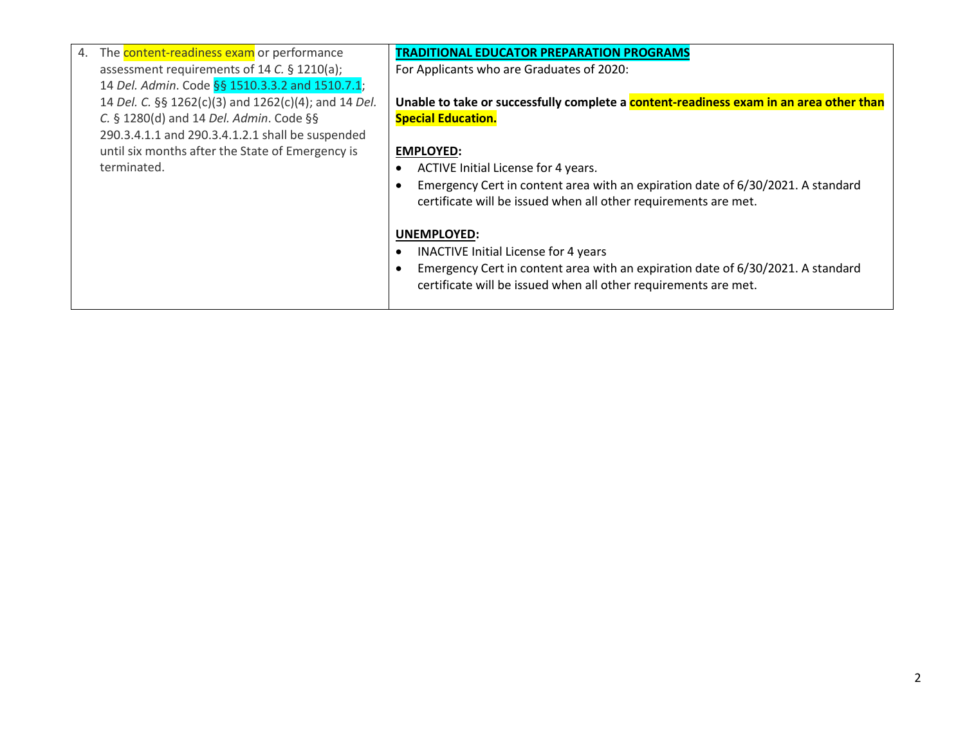| 4. The <b>content-readiness exam</b> or performance  | TRADITIONAL EDUCATOR PREPARATION PROGRAMS                                              |
|------------------------------------------------------|----------------------------------------------------------------------------------------|
| assessment requirements of 14 C. § 1210(a);          | For Applicants who are Graduates of 2020:                                              |
| 14 Del. Admin. Code §§ 1510.3.3.2 and 1510.7.1;      |                                                                                        |
| 14 Del. C. §§ 1262(c)(3) and 1262(c)(4); and 14 Del. | Unable to take or successfully complete a content-readiness exam in an area other than |
| C. § 1280(d) and 14 Del. Admin. Code §§              | <b>Special Education.</b>                                                              |
| 290.3.4.1.1 and 290.3.4.1.2.1 shall be suspended     |                                                                                        |
| until six months after the State of Emergency is     | <b>EMPLOYED:</b>                                                                       |
| terminated.                                          | ACTIVE Initial License for 4 years.                                                    |
|                                                      | Emergency Cert in content area with an expiration date of 6/30/2021. A standard        |
|                                                      | certificate will be issued when all other requirements are met.                        |
|                                                      |                                                                                        |
|                                                      | <b>UNEMPLOYED:</b>                                                                     |
|                                                      | <b>INACTIVE Initial License for 4 years</b>                                            |
|                                                      | Emergency Cert in content area with an expiration date of 6/30/2021. A standard        |
|                                                      | certificate will be issued when all other requirements are met.                        |
|                                                      |                                                                                        |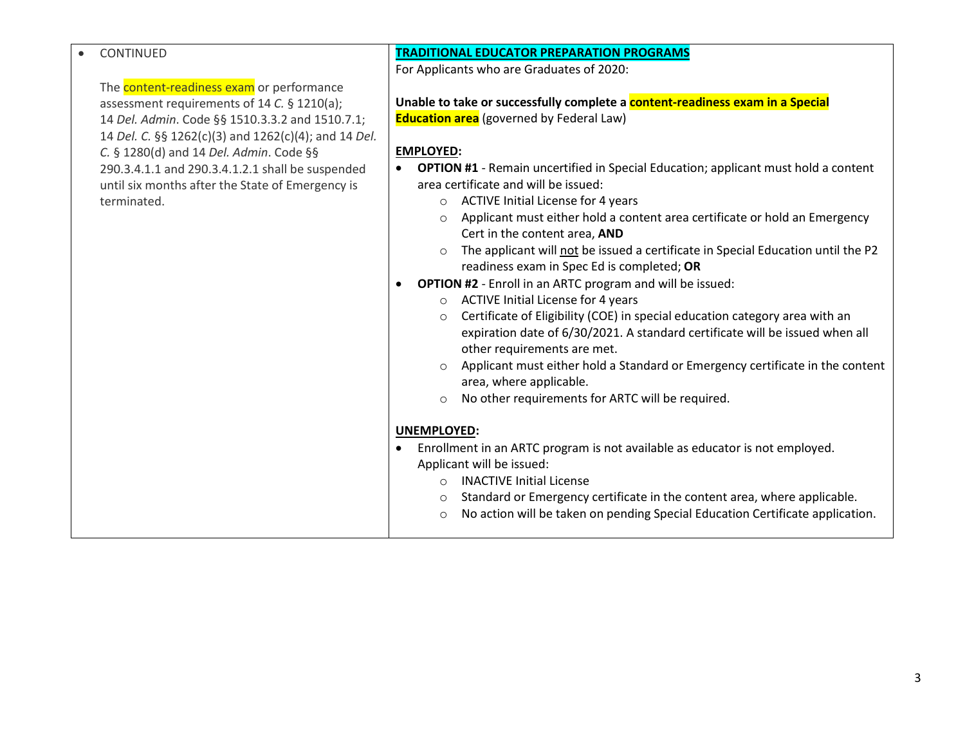#### CONTINUED

The **content-readiness exam** or performance assessment requirements of 14 C. § 1210(a); 14 Del. Admin. Code §§ 1510.3.3.2 and 1510.7.1; 14 Del. C. §§ 1262(c)(3) and 1262(c)(4); and 14 Del. C. § 1280(d) and 14 Del. Admin. Code §§ 290.3.4.1.1 and 290.3.4.1.2.1 shall be suspended until six months after the State of Emergency is terminated.

### TRADITIONAL EDUCATOR PREPARATION PROGRAMS

For Applicants who are Graduates of 2020:

Unable to take or successfully complete a **content-readiness exam in a Special Education area** (governed by Federal Law)

### EMPLOYED:

- OPTION #1 Remain uncertified in Special Education; applicant must hold a content area certificate and will be issued:
	- o ACTIVE Initial License for 4 years
	- o Applicant must either hold a content area certificate or hold an Emergency Cert in the content area, AND
	- o The applicant will not be issued a certificate in Special Education until the P2 readiness exam in Spec Ed is completed; OR
- OPTION #2 Enroll in an ARTC program and will be issued:
	- o ACTIVE Initial License for 4 years
	- o Certificate of Eligibility (COE) in special education category area with an expiration date of 6/30/2021. A standard certificate will be issued when all other requirements are met.
	- o Applicant must either hold a Standard or Emergency certificate in the content area, where applicable.
	- o No other requirements for ARTC will be required.

#### UNEMPLOYED:

- Enrollment in an ARTC program is not available as educator is not employed. Applicant will be issued:
	- o INACTIVE Initial License
	- o Standard or Emergency certificate in the content area, where applicable.
	- o No action will be taken on pending Special Education Certificate application.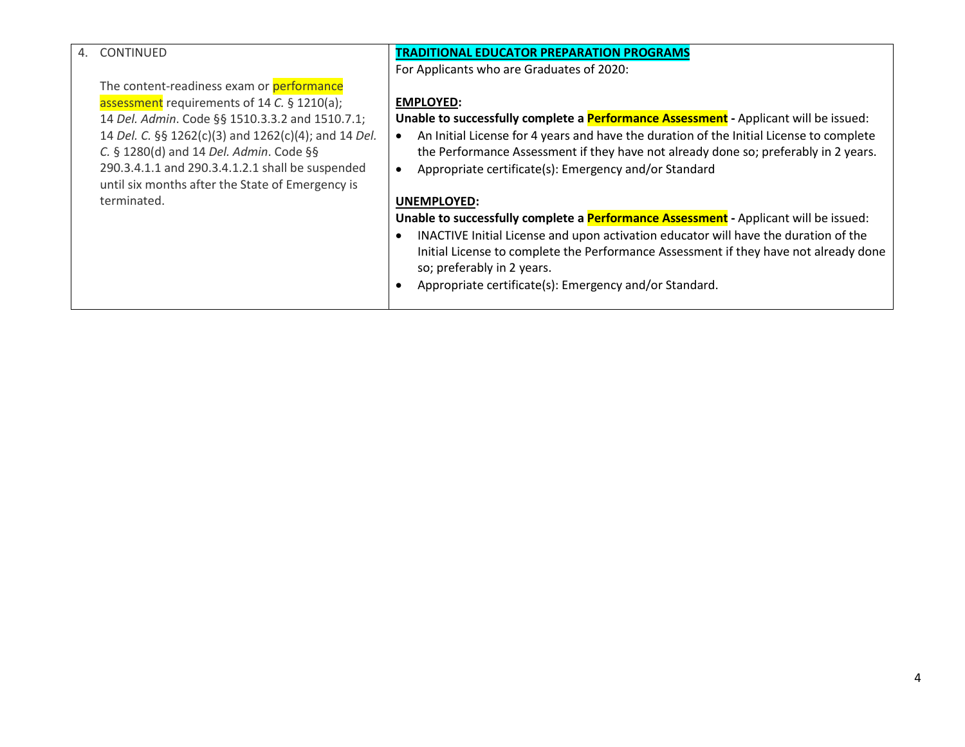| 4. | <b>CONTINUED</b>                                     | <b>TRADITIONAL EDUCATOR PREPARATION PROGRAMS</b>                                            |
|----|------------------------------------------------------|---------------------------------------------------------------------------------------------|
|    |                                                      | For Applicants who are Graduates of 2020:                                                   |
|    | The content-readiness exam or performance            |                                                                                             |
|    | assessment requirements of 14 C. § 1210(a);          | <b>EMPLOYED:</b>                                                                            |
|    | 14 Del. Admin. Code §§ 1510.3.3.2 and 1510.7.1;      | Unable to successfully complete a <b>Performance Assessment</b> - Applicant will be issued: |
|    | 14 Del. C. §§ 1262(c)(3) and 1262(c)(4); and 14 Del. | An Initial License for 4 years and have the duration of the Initial License to complete     |
|    | C. § 1280(d) and 14 Del. Admin. Code §§              | the Performance Assessment if they have not already done so; preferably in 2 years.         |
|    | 290.3.4.1.1 and 290.3.4.1.2.1 shall be suspended     | Appropriate certificate(s): Emergency and/or Standard                                       |
|    | until six months after the State of Emergency is     |                                                                                             |
|    | terminated.                                          | UNEMPLOYED:                                                                                 |
|    |                                                      | Unable to successfully complete a <b>Performance Assessment</b> - Applicant will be issued: |
|    |                                                      | INACTIVE Initial License and upon activation educator will have the duration of the         |
|    |                                                      | Initial License to complete the Performance Assessment if they have not already done        |
|    |                                                      | so; preferably in 2 years.                                                                  |
|    |                                                      | Appropriate certificate(s): Emergency and/or Standard.                                      |
|    |                                                      |                                                                                             |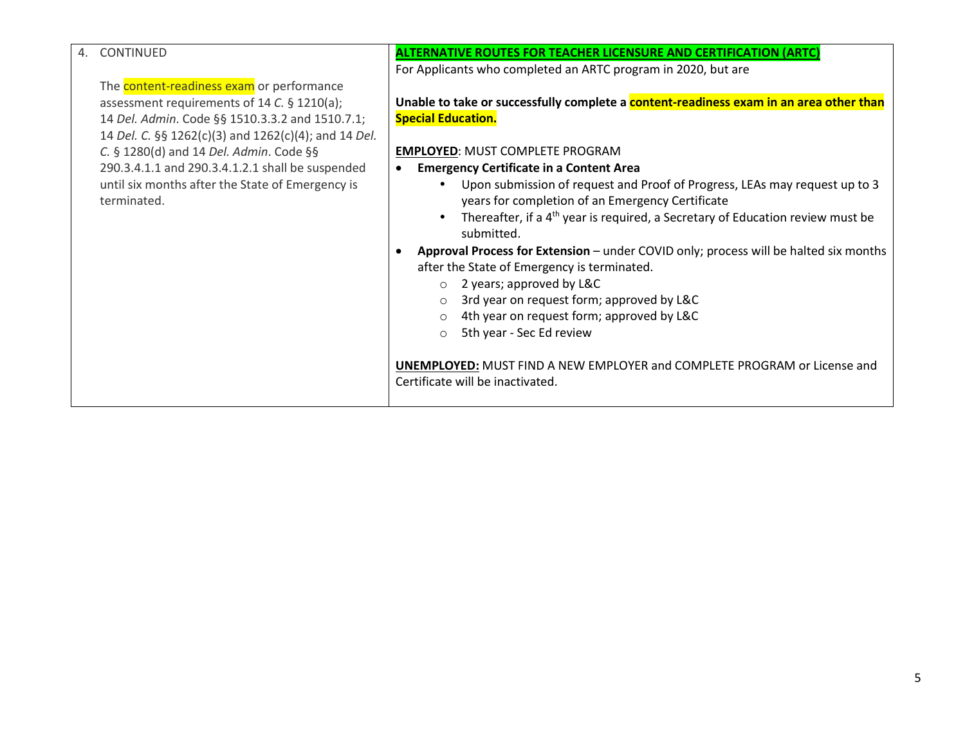| 4. | <b>CONTINUED</b>                                     | <b>ALTERNATIVE ROUTES FOR TEACHER LICENSURE AND CERTIFICATION (ARTC)</b>                          |
|----|------------------------------------------------------|---------------------------------------------------------------------------------------------------|
|    |                                                      |                                                                                                   |
|    |                                                      | For Applicants who completed an ARTC program in 2020, but are                                     |
|    | The <b>content-readiness exam</b> or performance     |                                                                                                   |
|    | assessment requirements of 14 C. § 1210(a);          | Unable to take or successfully complete a content-readiness exam in an area other than            |
|    | 14 Del. Admin. Code §§ 1510.3.3.2 and 1510.7.1;      | <b>Special Education.</b>                                                                         |
|    | 14 Del. C. §§ 1262(c)(3) and 1262(c)(4); and 14 Del. |                                                                                                   |
|    | C. § 1280(d) and 14 Del. Admin. Code §§              | <b>EMPLOYED: MUST COMPLETE PROGRAM</b>                                                            |
|    | 290.3.4.1.1 and 290.3.4.1.2.1 shall be suspended     | <b>Emergency Certificate in a Content Area</b>                                                    |
|    | until six months after the State of Emergency is     | Upon submission of request and Proof of Progress, LEAs may request up to 3                        |
|    | terminated.                                          | years for completion of an Emergency Certificate                                                  |
|    |                                                      | Thereafter, if a 4 <sup>th</sup> year is required, a Secretary of Education review must be        |
|    |                                                      | submitted.                                                                                        |
|    |                                                      |                                                                                                   |
|    |                                                      | Approval Process for Extension - under COVID only; process will be halted six months<br>$\bullet$ |
|    |                                                      | after the State of Emergency is terminated.                                                       |
|    |                                                      | $\circ$ 2 years; approved by L&C                                                                  |
|    |                                                      | 3rd year on request form; approved by L&C                                                         |
|    |                                                      | 4th year on request form; approved by L&C<br>$\circ$                                              |
|    |                                                      | 5th year - Sec Ed review<br>$\Omega$                                                              |
|    |                                                      |                                                                                                   |
|    |                                                      | <b>UNEMPLOYED:</b> MUST FIND A NEW EMPLOYER and COMPLETE PROGRAM or License and                   |
|    |                                                      | Certificate will be inactivated.                                                                  |
|    |                                                      |                                                                                                   |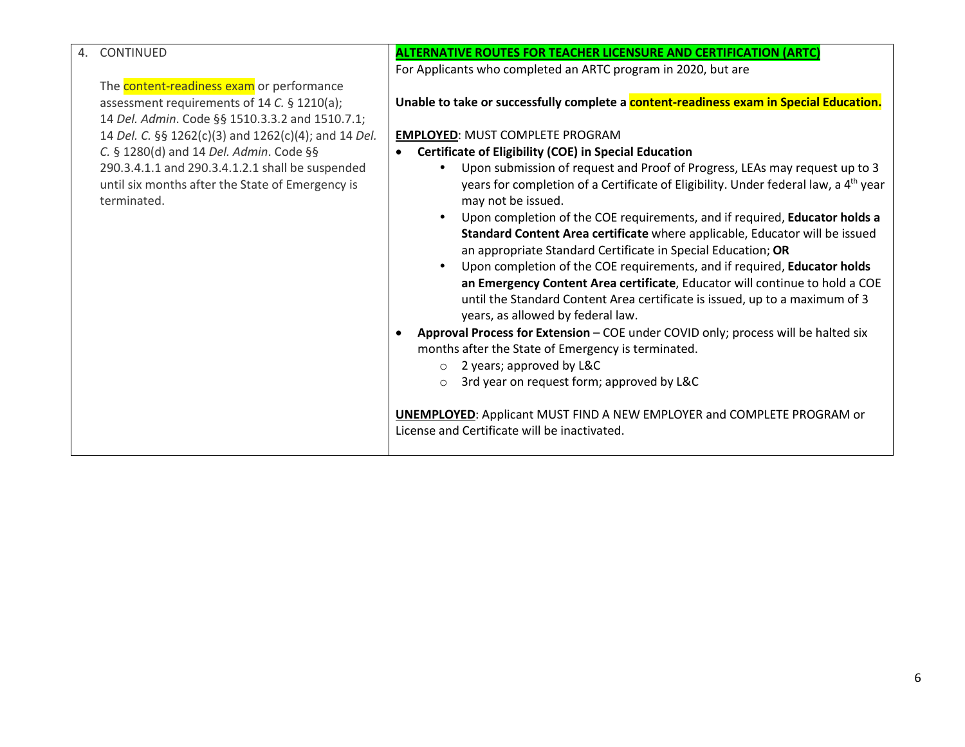| 4. | CONTINUED                                                                                                           | <b>ALTERNATIVE ROUTES FOR TEACHER LICENSURE AND CERTIFICATION (ARTC)</b>                                                                                                                                                                                                                                                                                         |
|----|---------------------------------------------------------------------------------------------------------------------|------------------------------------------------------------------------------------------------------------------------------------------------------------------------------------------------------------------------------------------------------------------------------------------------------------------------------------------------------------------|
|    |                                                                                                                     | For Applicants who completed an ARTC program in 2020, but are                                                                                                                                                                                                                                                                                                    |
|    | The <b>content-readiness exam</b> or performance                                                                    |                                                                                                                                                                                                                                                                                                                                                                  |
|    | assessment requirements of 14 C. § 1210(a);                                                                         | Unable to take or successfully complete a <b>content-readiness exam in Special Education.</b>                                                                                                                                                                                                                                                                    |
|    |                                                                                                                     |                                                                                                                                                                                                                                                                                                                                                                  |
|    | 14 Del. Admin. Code §§ 1510.3.3.2 and 1510.7.1;                                                                     |                                                                                                                                                                                                                                                                                                                                                                  |
|    | 14 Del. C. §§ 1262(c)(3) and 1262(c)(4); and 14 Del.                                                                | <b>EMPLOYED: MUST COMPLETE PROGRAM</b>                                                                                                                                                                                                                                                                                                                           |
|    | C. § 1280(d) and 14 Del. Admin. Code §§                                                                             | <b>Certificate of Eligibility (COE) in Special Education</b>                                                                                                                                                                                                                                                                                                     |
|    | 290.3.4.1.1 and 290.3.4.1.2.1 shall be suspended<br>until six months after the State of Emergency is<br>terminated. | Upon submission of request and Proof of Progress, LEAs may request up to 3<br>years for completion of a Certificate of Eligibility. Under federal law, a 4 <sup>th</sup> year<br>may not be issued.<br>Upon completion of the COE requirements, and if required, Educator holds a<br>Standard Content Area certificate where applicable, Educator will be issued |
|    |                                                                                                                     | an appropriate Standard Certificate in Special Education; OR                                                                                                                                                                                                                                                                                                     |
|    |                                                                                                                     | Upon completion of the COE requirements, and if required, Educator holds                                                                                                                                                                                                                                                                                         |
|    |                                                                                                                     | an Emergency Content Area certificate, Educator will continue to hold a COE<br>until the Standard Content Area certificate is issued, up to a maximum of 3<br>years, as allowed by federal law.                                                                                                                                                                  |
|    |                                                                                                                     |                                                                                                                                                                                                                                                                                                                                                                  |
|    |                                                                                                                     | Approval Process for Extension - COE under COVID only; process will be halted six<br>$\bullet$<br>months after the State of Emergency is terminated.                                                                                                                                                                                                             |
|    |                                                                                                                     | $\circ$ 2 years; approved by L&C                                                                                                                                                                                                                                                                                                                                 |
|    |                                                                                                                     | 3rd year on request form; approved by L&C<br>$\circ$                                                                                                                                                                                                                                                                                                             |
|    |                                                                                                                     |                                                                                                                                                                                                                                                                                                                                                                  |
|    |                                                                                                                     | <b>UNEMPLOYED:</b> Applicant MUST FIND A NEW EMPLOYER and COMPLETE PROGRAM or<br>License and Certificate will be inactivated.                                                                                                                                                                                                                                    |
|    |                                                                                                                     |                                                                                                                                                                                                                                                                                                                                                                  |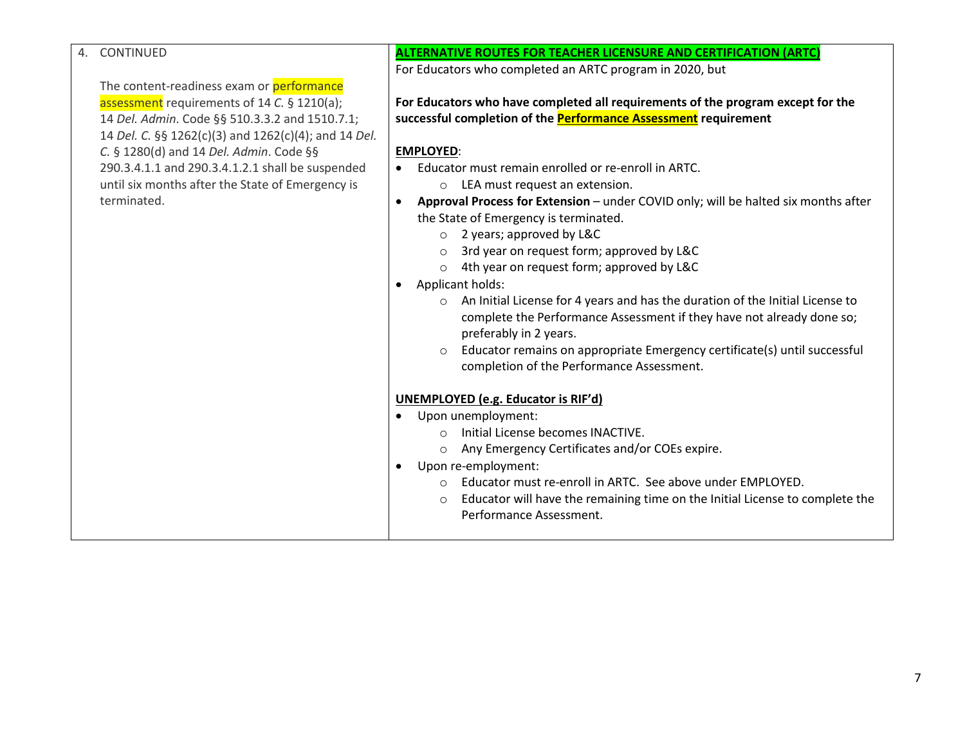#### 4. CONTINUED

The content-readiness exam or **performance** assessment requirements of 14 C. § 1210(a); 14 Del. Admin. Code §§ 510.3.3.2 and 1510.7.1; 14 Del. C. §§ 1262(c)(3) and 1262(c)(4); and 14 Del. C. § 1280(d) and 14 Del. Admin. Code §§ 290.3.4.1.1 and 290.3.4.1.2.1 shall be suspended until six months after the State of Emergency is terminated.

### ALTERNATIVE ROUTES FOR TEACHER LICENSURE AND CERTIFICATION (ARTC)

For Educators who completed an ARTC program in 2020, but

For Educators who have completed all requirements of the program except for the successful completion of the **Performance Assessment** requirement

#### EMPLOYED:

- Educator must remain enrolled or re-enroll in ARTC.
	- o LEA must request an extension.
- Approval Process for Extension under COVID only; will be halted six months after the State of Emergency is terminated.
	- o 2 years; approved by L&C
	- o 3rd year on request form; approved by L&C
	- o 4th year on request form; approved by L&C

#### Applicant holds:

- o An Initial License for 4 years and has the duration of the Initial License to complete the Performance Assessment if they have not already done so; preferably in 2 years.
- o Educator remains on appropriate Emergency certificate(s) until successful completion of the Performance Assessment.

#### UNEMPLOYED (e.g. Educator is RIF'd)

- Upon unemployment:
	- o Initial License becomes INACTIVE.
	- o Any Emergency Certificates and/or COEs expire.
- Upon re-employment:
	- Educator must re-enroll in ARTC. See above under EMPLOYED.
	- o Educator will have the remaining time on the Initial License to complete the Performance Assessment.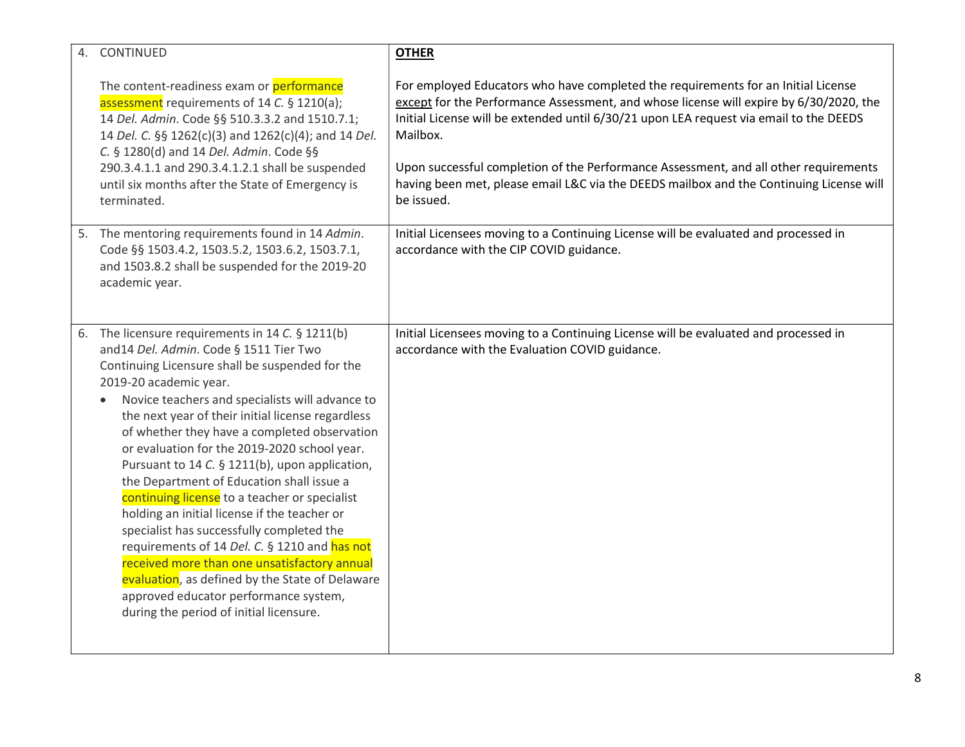| 4. CONTINUED                                                                                                                                                                                                                                                                                                                                                                                                                                                                                                                                                                                                                                                                                                                                                                                                                                                                      | <b>OTHER</b>                                                                                                                                                                                                                                                                      |
|-----------------------------------------------------------------------------------------------------------------------------------------------------------------------------------------------------------------------------------------------------------------------------------------------------------------------------------------------------------------------------------------------------------------------------------------------------------------------------------------------------------------------------------------------------------------------------------------------------------------------------------------------------------------------------------------------------------------------------------------------------------------------------------------------------------------------------------------------------------------------------------|-----------------------------------------------------------------------------------------------------------------------------------------------------------------------------------------------------------------------------------------------------------------------------------|
| The content-readiness exam or performance<br>assessment requirements of 14 C. § 1210(a);<br>14 Del. Admin. Code §§ 510.3.3.2 and 1510.7.1;<br>14 Del. C. §§ 1262(c)(3) and 1262(c)(4); and 14 Del.<br>C. § 1280(d) and 14 Del. Admin. Code §§                                                                                                                                                                                                                                                                                                                                                                                                                                                                                                                                                                                                                                     | For employed Educators who have completed the requirements for an Initial License<br>except for the Performance Assessment, and whose license will expire by 6/30/2020, the<br>Initial License will be extended until 6/30/21 upon LEA request via email to the DEEDS<br>Mailbox. |
| 290.3.4.1.1 and 290.3.4.1.2.1 shall be suspended<br>until six months after the State of Emergency is<br>terminated.                                                                                                                                                                                                                                                                                                                                                                                                                                                                                                                                                                                                                                                                                                                                                               | Upon successful completion of the Performance Assessment, and all other requirements<br>having been met, please email L&C via the DEEDS mailbox and the Continuing License will<br>be issued.                                                                                     |
| 5. The mentoring requirements found in 14 Admin.<br>Code §§ 1503.4.2, 1503.5.2, 1503.6.2, 1503.7.1,<br>and 1503.8.2 shall be suspended for the 2019-20<br>academic year.                                                                                                                                                                                                                                                                                                                                                                                                                                                                                                                                                                                                                                                                                                          | Initial Licensees moving to a Continuing License will be evaluated and processed in<br>accordance with the CIP COVID guidance.                                                                                                                                                    |
| 6. The licensure requirements in 14 C. § 1211(b)<br>and14 Del. Admin. Code § 1511 Tier Two<br>Continuing Licensure shall be suspended for the<br>2019-20 academic year.<br>Novice teachers and specialists will advance to<br>$\bullet$<br>the next year of their initial license regardless<br>of whether they have a completed observation<br>or evaluation for the 2019-2020 school year.<br>Pursuant to 14 C. § 1211(b), upon application,<br>the Department of Education shall issue a<br>continuing license to a teacher or specialist<br>holding an initial license if the teacher or<br>specialist has successfully completed the<br>requirements of 14 Del. C. § 1210 and has not<br>received more than one unsatisfactory annual<br>evaluation, as defined by the State of Delaware<br>approved educator performance system,<br>during the period of initial licensure. | Initial Licensees moving to a Continuing License will be evaluated and processed in<br>accordance with the Evaluation COVID guidance.                                                                                                                                             |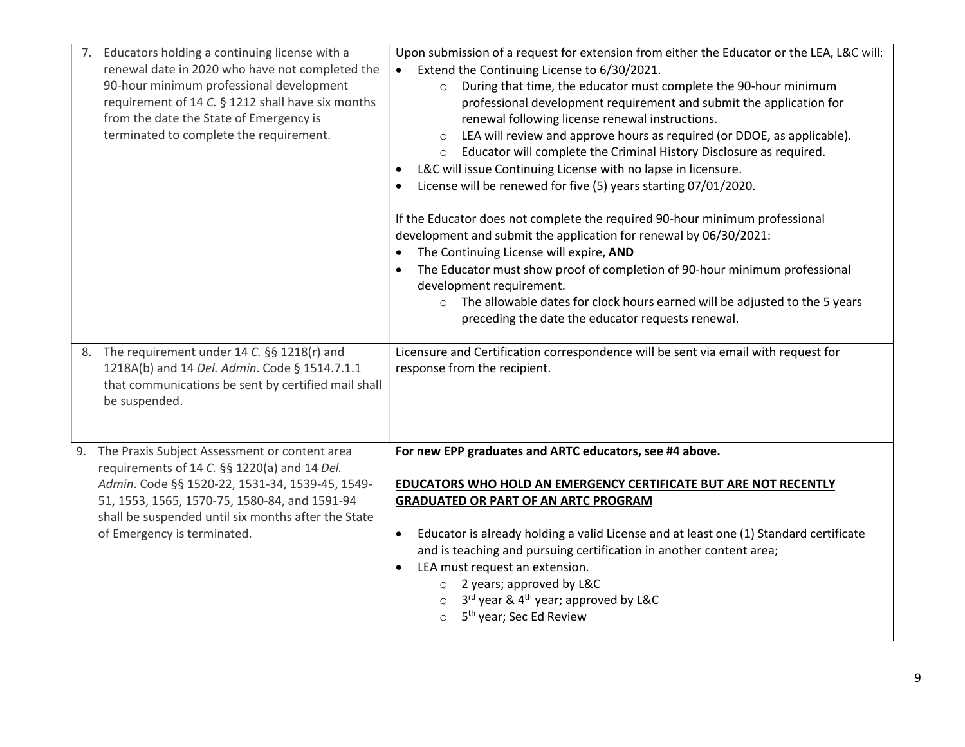| 7. Educators holding a continuing license with a<br>renewal date in 2020 who have not completed the<br>90-hour minimum professional development<br>requirement of 14 C. § 1212 shall have six months<br>from the date the State of Emergency is<br>terminated to complete the requirement. | Upon submission of a request for extension from either the Educator or the LEA, L&C will:<br>Extend the Continuing License to 6/30/2021.<br>During that time, the educator must complete the 90-hour minimum<br>$\circ$<br>professional development requirement and submit the application for<br>renewal following license renewal instructions.<br>LEA will review and approve hours as required (or DDOE, as applicable).<br>o Educator will complete the Criminal History Disclosure as required.<br>L&C will issue Continuing License with no lapse in licensure.<br>$\bullet$<br>License will be renewed for five (5) years starting 07/01/2020.<br>If the Educator does not complete the required 90-hour minimum professional<br>development and submit the application for renewal by 06/30/2021:<br>The Continuing License will expire, AND<br>$\bullet$<br>The Educator must show proof of completion of 90-hour minimum professional<br>$\bullet$<br>development requirement.<br>o The allowable dates for clock hours earned will be adjusted to the 5 years<br>preceding the date the educator requests renewal. |
|--------------------------------------------------------------------------------------------------------------------------------------------------------------------------------------------------------------------------------------------------------------------------------------------|--------------------------------------------------------------------------------------------------------------------------------------------------------------------------------------------------------------------------------------------------------------------------------------------------------------------------------------------------------------------------------------------------------------------------------------------------------------------------------------------------------------------------------------------------------------------------------------------------------------------------------------------------------------------------------------------------------------------------------------------------------------------------------------------------------------------------------------------------------------------------------------------------------------------------------------------------------------------------------------------------------------------------------------------------------------------------------------------------------------------------------|
| The requirement under 14 C. §§ 1218(r) and<br>8.<br>1218A(b) and 14 Del. Admin. Code § 1514.7.1.1<br>that communications be sent by certified mail shall<br>be suspended.                                                                                                                  | Licensure and Certification correspondence will be sent via email with request for<br>response from the recipient.                                                                                                                                                                                                                                                                                                                                                                                                                                                                                                                                                                                                                                                                                                                                                                                                                                                                                                                                                                                                             |
| 9. The Praxis Subject Assessment or content area<br>requirements of 14 C. §§ 1220(a) and 14 Del.<br>Admin. Code §§ 1520-22, 1531-34, 1539-45, 1549-<br>51, 1553, 1565, 1570-75, 1580-84, and 1591-94<br>shall be suspended until six months after the State<br>of Emergency is terminated. | For new EPP graduates and ARTC educators, see #4 above.<br><b>EDUCATORS WHO HOLD AN EMERGENCY CERTIFICATE BUT ARE NOT RECENTLY</b><br><b>GRADUATED OR PART OF AN ARTC PROGRAM</b><br>Educator is already holding a valid License and at least one (1) Standard certificate<br>$\bullet$<br>and is teaching and pursuing certification in another content area;<br>LEA must request an extension.<br>$\bullet$<br>$\circ$ 2 years; approved by L&C<br>$\circ$ 3 <sup>rd</sup> year & 4 <sup>th</sup> year; approved by L&C<br>5 <sup>th</sup> year; Sec Ed Review<br>$\circ$                                                                                                                                                                                                                                                                                                                                                                                                                                                                                                                                                    |